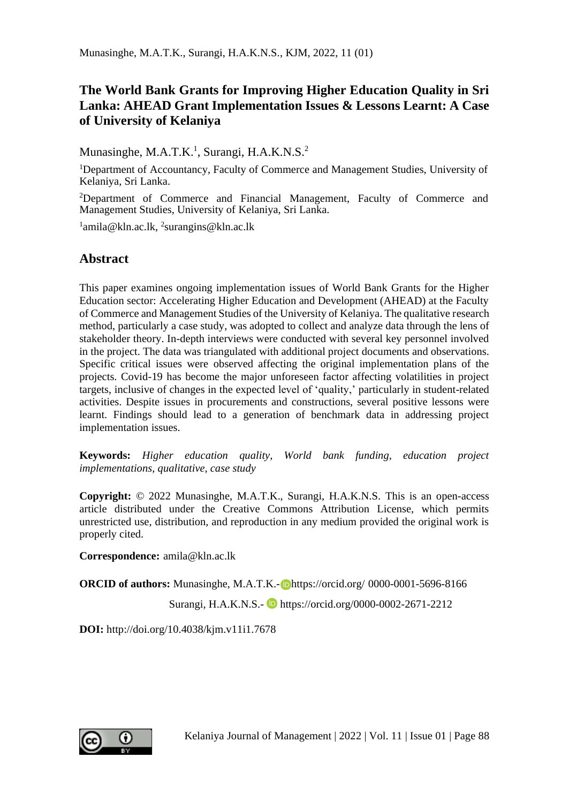## **The World Bank Grants for Improving Higher Education Quality in Sri Lanka: AHEAD Grant Implementation Issues & Lessons Learnt: A Case of University of Kelaniya**

Munasinghe, M.A.T.K.<sup>1</sup>, Surangi, H.A.K.N.S.<sup>2</sup>

<sup>1</sup>Department of Accountancy, Faculty of Commerce and Management Studies, University of Kelaniya, Sri Lanka.

<sup>2</sup>Department of Commerce and Financial Management, Faculty of Commerce and Management Studies, University of Kelaniya, Sri Lanka.

<sup>1</sup>amila@kln.ac.lk, <sup>2</sup>surangins@kln.ac.lk

### **Abstract**

This paper examines ongoing implementation issues of World Bank Grants for the Higher Education sector: Accelerating Higher Education and Development (AHEAD) at the Faculty of Commerce and Management Studies of the University of Kelaniya. The qualitative research method, particularly a case study, was adopted to collect and analyze data through the lens of stakeholder theory. In-depth interviews were conducted with several key personnel involved in the project. The data was triangulated with additional project documents and observations. Specific critical issues were observed affecting the original implementation plans of the projects. Covid-19 has become the major unforeseen factor affecting volatilities in project targets, inclusive of changes in the expected level of 'quality,' particularly in student-related activities. Despite issues in procurements and constructions, several positive lessons were learnt. Findings should lead to a generation of benchmark data in addressing project implementation issues.

**Keywords:** *Higher education quality, World bank funding, education project implementations, qualitative, case study* 

**Copyright:** © 2022 Munasinghe, M.A.T.K., Surangi, H.A.K.N.S. This is an open-access article distributed under the Creative Commons Attribution License, which permits unrestricted use, distribution, and reproduction in any medium provided the original work is properly cited.

**Correspondence:** amila@kln.ac.lk

**ORCID of authors:** Munasinghe, M.A.T.K.- **Dhttps://orcid.org/ 0000-0001-5696-8166** 

Surangi, H.A.K.N.S.- https://orcid.org/0000-0002-2671-2212

**DOI:** http://doi.org/10.4038/kjm.v11i1.7678

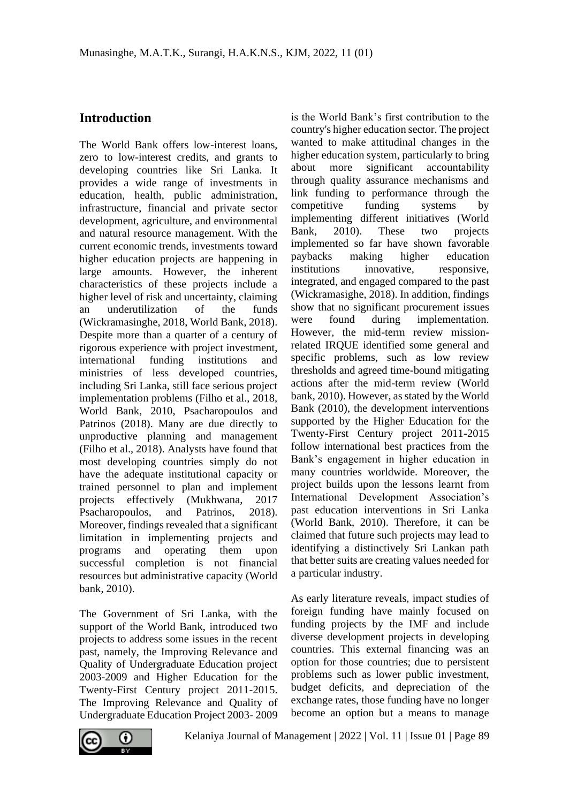### **Introduction**

The World Bank offers low-interest loans, zero to low-interest credits, and grants to developing countries like Sri Lanka. It provides a wide range of investments in education, health, public administration, infrastructure, financial and private sector development, agriculture, and environmental and natural resource management. With the current economic trends, investments toward higher education projects are happening in large amounts. However, the inherent characteristics of these projects include a higher level of risk and uncertainty, claiming an underutilization of the funds (Wickramasinghe, 2018, World Bank, 2018). Despite more than a quarter of a century of rigorous experience with project investment, international funding institutions and ministries of less developed countries, including Sri Lanka, still face serious project implementation problems (Filho et al., 2018, World Bank, 2010, Psacharopoulos and Patrinos (2018). Many are due directly to unproductive planning and management (Filho et al., 2018). Analysts have found that most developing countries simply do not have the adequate institutional capacity or trained personnel to plan and implement projects effectively (Mukhwana, 2017 Psacharopoulos, and Patrinos, 2018). Moreover, findings revealed that a significant limitation in implementing projects and programs and operating them upon successful completion is not financial resources but administrative capacity (World bank, 2010).

The Government of Sri Lanka, with the support of the World Bank, introduced two projects to address some issues in the recent past, namely, the Improving Relevance and Quality of Undergraduate Education project 2003-2009 and Higher Education for the Twenty-First Century project 2011-2015. The Improving Relevance and Quality of Undergraduate Education Project 2003- 2009

is the World Bank's first contribution to the country's higher education sector. The project wanted to make attitudinal changes in the higher education system, particularly to bring about more significant accountability through quality assurance mechanisms and link funding to performance through the competitive funding systems by implementing different initiatives (World Bank, 2010). These two projects implemented so far have shown favorable paybacks making higher education institutions innovative, responsive, integrated, and engaged compared to the past (Wickramasighe, 2018). In addition, findings show that no significant procurement issues were found during implementation. However, the mid-term review missionrelated IRQUE identified some general and specific problems, such as low review thresholds and agreed time-bound mitigating actions after the mid-term review (World bank, 2010). However, as stated by the World Bank (2010), the development interventions supported by the Higher Education for the Twenty-First Century project 2011-2015 follow international best practices from the Bank's engagement in higher education in many countries worldwide. Moreover, the project builds upon the lessons learnt from International Development Association's past education interventions in Sri Lanka (World Bank, 2010). Therefore, it can be claimed that future such projects may lead to identifying a distinctively Sri Lankan path that better suits are creating values needed for a particular industry.

As early literature reveals, impact studies of foreign funding have mainly focused on funding projects by the IMF and include diverse development projects in developing countries. This external financing was an option for those countries; due to persistent problems such as lower public investment, budget deficits, and depreciation of the exchange rates, those funding have no longer become an option but a means to manage

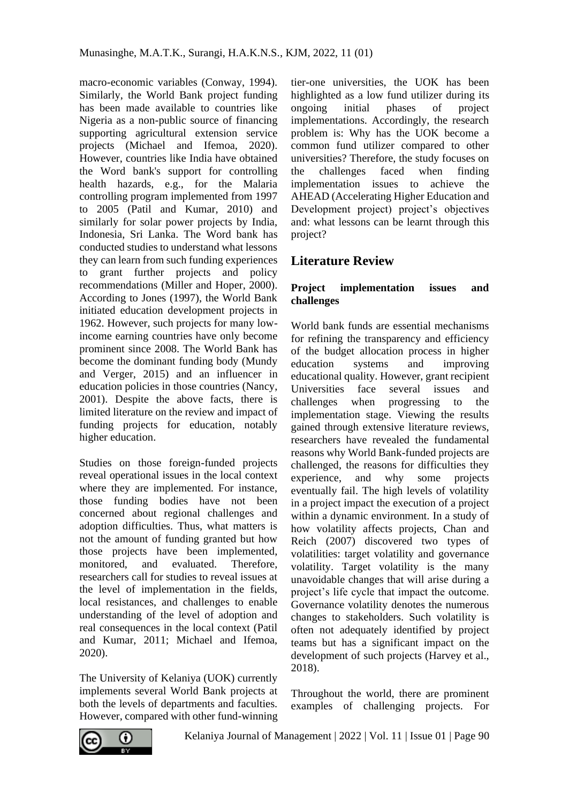macro-economic variables (Conway, 1994). Similarly, the World Bank project funding has been made available to countries like Nigeria as a non-public source of financing supporting agricultural extension service projects (Michael and Ifemoa, 2020). However, countries like India have obtained the Word bank's support for controlling health hazards, e.g., for the Malaria controlling program implemented from 1997 to 2005 (Patil and Kumar, 2010) and similarly for solar power projects by India, Indonesia, Sri Lanka. The Word bank has conducted studies to understand what lessons they can learn from such funding experiences to grant further projects and policy recommendations (Miller and Hoper, 2000). According to Jones (1997), the World Bank initiated education development projects in 1962. However, such projects for many lowincome earning countries have only become prominent since 2008. The World Bank has become the dominant funding body (Mundy and Verger, 2015) and an influencer in education policies in those countries (Nancy, 2001). Despite the above facts, there is limited literature on the review and impact of funding projects for education, notably higher education.

Studies on those foreign-funded projects reveal operational issues in the local context where they are implemented. For instance, those funding bodies have not been concerned about regional challenges and adoption difficulties. Thus, what matters is not the amount of funding granted but how those projects have been implemented, monitored, and evaluated. Therefore, researchers call for studies to reveal issues at the level of implementation in the fields, local resistances, and challenges to enable understanding of the level of adoption and real consequences in the local context (Patil and Kumar, 2011; Michael and Ifemoa, 2020).

The University of Kelaniya (UOK) currently implements several World Bank projects at both the levels of departments and faculties. However, compared with other fund-winning

tier-one universities, the UOK has been highlighted as a low fund utilizer during its ongoing initial phases of project implementations. Accordingly, the research problem is: Why has the UOK become a common fund utilizer compared to other universities? Therefore, the study focuses on the challenges faced when finding implementation issues to achieve the AHEAD (Accelerating Higher Education and Development project) project's objectives and: what lessons can be learnt through this project?

# **Literature Review**

#### **Project implementation issues and challenges**

World bank funds are essential mechanisms for refining the transparency and efficiency of the budget allocation process in higher education systems and improving educational quality. However, grant recipient Universities face several issues and challenges when progressing to the implementation stage. Viewing the results gained through extensive literature reviews, researchers have revealed the fundamental reasons why World Bank-funded projects are challenged, the reasons for difficulties they experience, and why some projects eventually fail. The high levels of volatility in a project impact the execution of a project within a dynamic environment. In a study of how volatility affects projects, Chan and Reich (2007) discovered two types of volatilities: target volatility and governance volatility. Target volatility is the many unavoidable changes that will arise during a project's life cycle that impact the outcome. Governance volatility denotes the numerous changes to stakeholders. Such volatility is often not adequately identified by project teams but has a significant impact on the development of such projects (Harvey et al., 2018).

Throughout the world, there are prominent examples of challenging projects. For

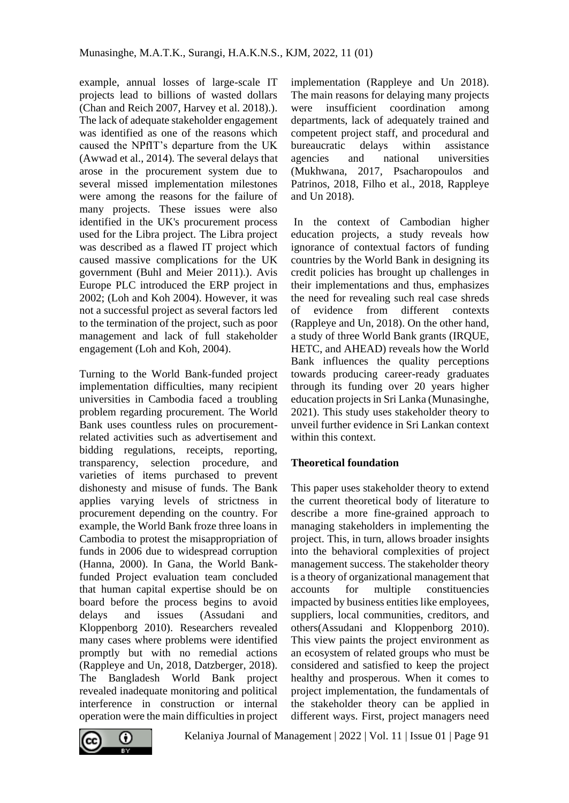example, annual losses of large-scale IT projects lead to billions of wasted dollars (Chan and Reich 2007, Harvey et al. 2018).). The lack of adequate stakeholder engagement was identified as one of the reasons which caused the NPfIT's departure from the UK (Awwad et al., 2014). The several delays that arose in the procurement system due to several missed implementation milestones were among the reasons for the failure of many projects. These issues were also identified in the UK's procurement process used for the Libra project. The Libra project was described as a flawed IT project which caused massive complications for the UK government (Buhl and Meier 2011).). Avis Europe PLC introduced the ERP project in 2002; (Loh and Koh 2004). However, it was not a successful project as several factors led to the termination of the project, such as poor management and lack of full stakeholder engagement (Loh and Koh, 2004).

Turning to the World Bank-funded project implementation difficulties, many recipient universities in Cambodia faced a troubling problem regarding procurement. The World Bank uses countless rules on procurementrelated activities such as advertisement and bidding regulations, receipts, reporting, transparency, selection procedure, and varieties of items purchased to prevent dishonesty and misuse of funds. The Bank applies varying levels of strictness in procurement depending on the country. For example, the World Bank froze three loans in Cambodia to protest the misappropriation of funds in 2006 due to widespread corruption (Hanna, 2000). In Gana, the World Bankfunded Project evaluation team concluded that human capital expertise should be on board before the process begins to avoid delays and issues (Assudani and Kloppenborg 2010). Researchers revealed many cases where problems were identified promptly but with no remedial actions (Rappleye and Un, 2018, Datzberger, 2018). The Bangladesh World Bank project revealed inadequate monitoring and political interference in construction or internal operation were the main difficulties in project implementation (Rappleye and Un 2018). The main reasons for delaying many projects were insufficient coordination among departments, lack of adequately trained and competent project staff, and procedural and bureaucratic delays within assistance agencies and national universities (Mukhwana, 2017, Psacharopoulos and Patrinos, 2018, Filho et al., 2018, Rappleye and Un 2018).

In the context of Cambodian higher education projects, a study reveals how ignorance of contextual factors of funding countries by the World Bank in designing its credit policies has brought up challenges in their implementations and thus, emphasizes the need for revealing such real case shreds of evidence from different contexts (Rappleye and Un, 2018). On the other hand, a study of three World Bank grants (IRQUE, HETC, and AHEAD) reveals how the World Bank influences the quality perceptions towards producing career-ready graduates through its funding over 20 years higher education projects in Sri Lanka (Munasinghe, 2021). This study uses stakeholder theory to unveil further evidence in Sri Lankan context within this context.

#### **Theoretical foundation**

This paper uses stakeholder theory to extend the current theoretical body of literature to describe a more fine-grained approach to managing stakeholders in implementing the project. This, in turn, allows broader insights into the behavioral complexities of project management success. The stakeholder theory is a theory of organizational management that accounts for multiple constituencies impacted by business entities like employees, suppliers, local communities, creditors, and others(Assudani and Kloppenborg 2010). This view paints the project environment as an ecosystem of related groups who must be considered and satisfied to keep the project healthy and prosperous. When it comes to project implementation, the fundamentals of the stakeholder theory can be applied in different ways. First, project managers need

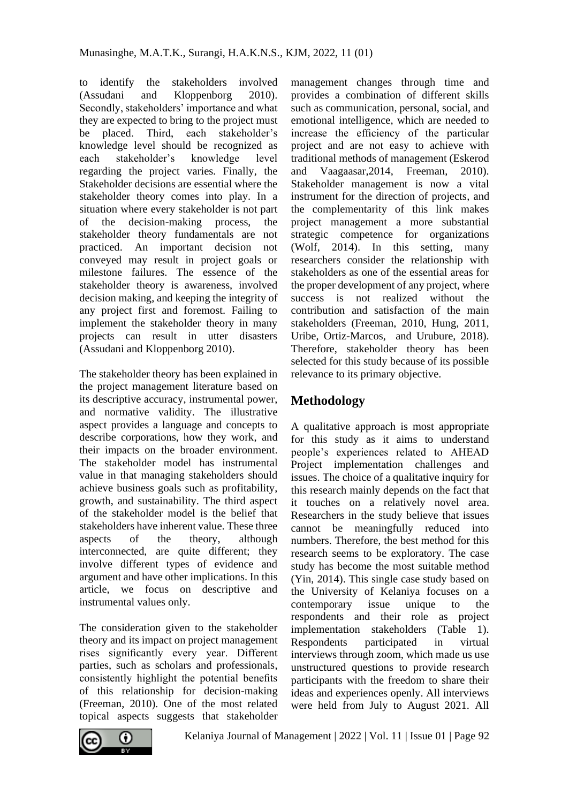to identify the stakeholders involved<br>
(Assudani and Kloppenborg 2010) and Kloppenborg 2010). Secondly, stakeholders' importance and what they are expected to bring to the project must be placed. Third, each stakeholder's knowledge level should be recognized as each stakeholder's knowledge level regarding the project varies. Finally, the Stakeholder decisions are essential where the stakeholder theory comes into play. In a situation where every stakeholder is not part of the decision-making process, the stakeholder theory fundamentals are not practiced. An important decision not conveyed may result in project goals or milestone failures. The essence of the stakeholder theory is awareness, involved decision making, and keeping the integrity of any project first and foremost. Failing to implement the stakeholder theory in many projects can result in utter disasters (Assudani and Kloppenborg 2010).

The stakeholder theory has been explained in the project management literature based on its descriptive accuracy, instrumental power, and normative validity. The illustrative aspect provides a language and concepts to describe corporations, how they work, and their impacts on the broader environment. The stakeholder model has instrumental value in that managing stakeholders should achieve business goals such as profitability, growth, and sustainability. The third aspect of the stakeholder model is the belief that stakeholders have inherent value. These three aspects of the theory, although interconnected, are quite different; they involve different types of evidence and argument and have other implications. In this article, we focus on descriptive and instrumental values only.

The consideration given to the stakeholder theory and its impact on project management rises significantly every year. Different parties, such as scholars and professionals, consistently highlight the potential benefits of this relationship for decision-making (Freeman, 2010). One of the most related topical aspects suggests that stakeholder management changes through time and provides a combination of different skills such as communication, personal, social, and emotional intelligence, which are needed to increase the efficiency of the particular project and are not easy to achieve with traditional methods of management (Eskerod and Vaagaasar,2014, Freeman, 2010). Stakeholder management is now a vital instrument for the direction of projects, and the complementarity of this link makes project management a more substantial strategic competence for organizations (Wolf, 2014). In this setting, many researchers consider the relationship with stakeholders as one of the essential areas for the proper development of any project, where success is not realized without the contribution and satisfaction of the main stakeholders (Freeman, 2010, Hung, 2011, Uribe, Ortiz-Marcos, and Urubure, 2018). Therefore, stakeholder theory has been selected for this study because of its possible relevance to its primary objective.

# **Methodology**

A qualitative approach is most appropriate for this study as it aims to understand people's experiences related to AHEAD Project implementation challenges and issues. The choice of a qualitative inquiry for this research mainly depends on the fact that it touches on a relatively novel area. Researchers in the study believe that issues cannot be meaningfully reduced into numbers. Therefore, the best method for this research seems to be exploratory. The case study has become the most suitable method (Yin, 2014). This single case study based on the University of Kelaniya focuses on a contemporary issue unique to the respondents and their role as project implementation stakeholders (Table 1). Respondents participated in virtual interviews through zoom, which made us use unstructured questions to provide research participants with the freedom to share their ideas and experiences openly. All interviews were held from July to August 2021. All

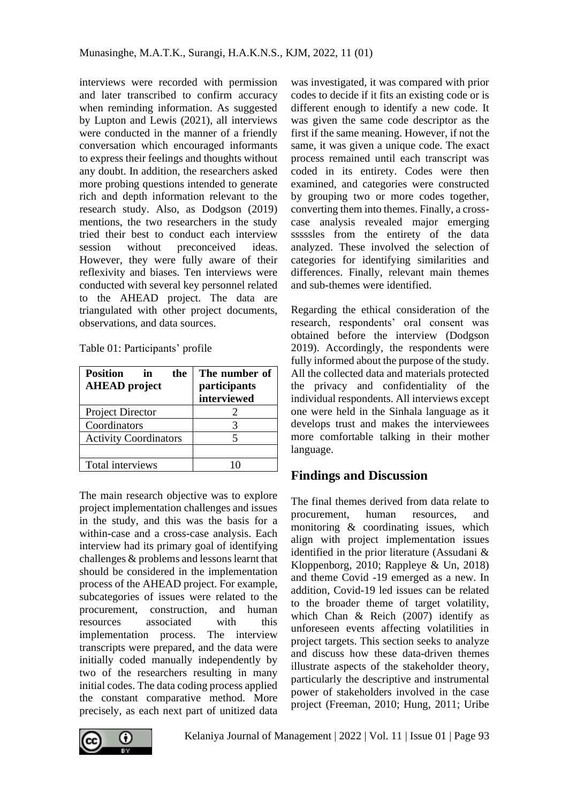interviews were recorded with permission and later transcribed to confirm accuracy when reminding information. As suggested by Lupton and Lewis (2021), all interviews were conducted in the manner of a friendly conversation which encouraged informants to express their feelings and thoughts without any doubt. In addition, the researchers asked more probing questions intended to generate rich and depth information relevant to the research study. Also, as Dodgson (2019) mentions, the two researchers in the study tried their best to conduct each interview session without preconceived ideas. However, they were fully aware of their reflexivity and biases. Ten interviews were conducted with several key personnel related to the AHEAD project. The data are triangulated with other project documents, observations, and data sources.

| Table 01: Participants' profile |  |
|---------------------------------|--|
|---------------------------------|--|

| <b>Position</b><br>the<br>in<br><b>AHEAD</b> project | The number of<br>participants<br>interviewed |
|------------------------------------------------------|----------------------------------------------|
| Project Director                                     |                                              |
| Coordinators                                         |                                              |
| <b>Activity Coordinators</b>                         |                                              |
|                                                      |                                              |
| Total interviews                                     |                                              |

The main research objective was to explore project implementation challenges and issues in the study, and this was the basis for a within-case and a cross-case analysis. Each interview had its primary goal of identifying challenges & problems and lessons learnt that should be considered in the implementation process of the AHEAD project. For example, subcategories of issues were related to the procurement, construction, and human resources associated with this implementation process. The interview transcripts were prepared, and the data were initially coded manually independently by two of the researchers resulting in many initial codes. The data coding process applied the constant comparative method. More precisely, as each next part of unitized data

was investigated, it was compared with prior codes to decide if it fits an existing code or is different enough to identify a new code. It was given the same code descriptor as the first if the same meaning. However, if not the same, it was given a unique code. The exact process remained until each transcript was coded in its entirety. Codes were then examined, and categories were constructed by grouping two or more codes together, converting them into themes. Finally, a crosscase analysis revealed major emerging sssssles from the entirety of the data analyzed. These involved the selection of categories for identifying similarities and differences. Finally, relevant main themes and sub-themes were identified.

Regarding the ethical consideration of the research, respondents' oral consent was obtained before the interview (Dodgson 2019). Accordingly, the respondents were fully informed about the purpose of the study. All the collected data and materials protected the privacy and confidentiality of the individual respondents. All interviews except one were held in the Sinhala language as it develops trust and makes the interviewees more comfortable talking in their mother language.

## **Findings and Discussion**

The final themes derived from data relate to procurement, human resources, and monitoring & coordinating issues, which align with project implementation issues identified in the prior literature (Assudani & Kloppenborg, 2010; Rappleye & Un, 2018) and theme Covid -19 emerged as a new. In addition, Covid-19 led issues can be related to the broader theme of target volatility, which Chan & Reich (2007) identify as unforeseen events affecting volatilities in project targets. This section seeks to analyze and discuss how these data-driven themes illustrate aspects of the stakeholder theory, particularly the descriptive and instrumental power of stakeholders involved in the case project (Freeman, 2010; Hung, 2011; Uribe

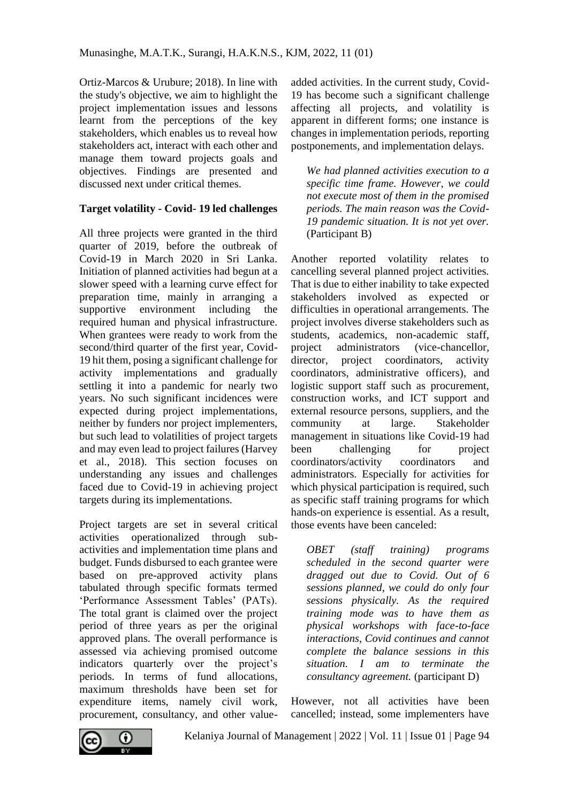Ortiz-Marcos & Urubure; 2018). In line with the study's objective, we aim to highlight the project implementation issues and lessons learnt from the perceptions of the key stakeholders, which enables us to reveal how stakeholders act, interact with each other and manage them toward projects goals and objectives. Findings are presented and discussed next under critical themes.

#### **Target volatility - Covid- 19 led challenges**

All three projects were granted in the third quarter of 2019, before the outbreak of Covid-19 in March 2020 in Sri Lanka. Initiation of planned activities had begun at a slower speed with a learning curve effect for preparation time, mainly in arranging a supportive environment including the required human and physical infrastructure. When grantees were ready to work from the second/third quarter of the first year, Covid-19 hit them, posing a significant challenge for activity implementations and gradually settling it into a pandemic for nearly two years. No such significant incidences were expected during project implementations, neither by funders nor project implementers, but such lead to volatilities of project targets and may even lead to project failures (Harvey et al., 2018). This section focuses on understanding any issues and challenges faced due to Covid-19 in achieving project targets during its implementations.

Project targets are set in several critical activities operationalized through subactivities and implementation time plans and budget. Funds disbursed to each grantee were based on pre-approved activity plans tabulated through specific formats termed 'Performance Assessment Tables' (PATs). The total grant is claimed over the project period of three years as per the original approved plans. The overall performance is assessed via achieving promised outcome indicators quarterly over the project's periods. In terms of fund allocations, maximum thresholds have been set for expenditure items, namely civil work, procurement, consultancy, and other valueadded activities. In the current study, Covid-19 has become such a significant challenge affecting all projects, and volatility is apparent in different forms; one instance is changes in implementation periods, reporting postponements, and implementation delays.

*We had planned activities execution to a specific time frame. However, we could not execute most of them in the promised periods. The main reason was the Covid-19 pandemic situation. It is not yet over.* (Participant B)

Another reported volatility relates to cancelling several planned project activities. That is due to either inability to take expected stakeholders involved as expected or difficulties in operational arrangements. The project involves diverse stakeholders such as students, academics, non-academic staff, project administrators (vice-chancellor, director, project coordinators, activity coordinators, administrative officers), and logistic support staff such as procurement, construction works, and ICT support and external resource persons, suppliers, and the community at large. Stakeholder management in situations like Covid-19 had been challenging for project coordinators/activity coordinators and administrators. Especially for activities for which physical participation is required, such as specific staff training programs for which hands-on experience is essential. As a result, those events have been canceled:

*OBET (staff training) programs scheduled in the second quarter were dragged out due to Covid. Out of 6 sessions planned, we could do only four sessions physically. As the required training mode was to have them as physical workshops with face-to-face interactions, Covid continues and cannot complete the balance sessions in this situation. I am to terminate the consultancy agreement.* (participant D)

However, not all activities have been cancelled; instead, some implementers have

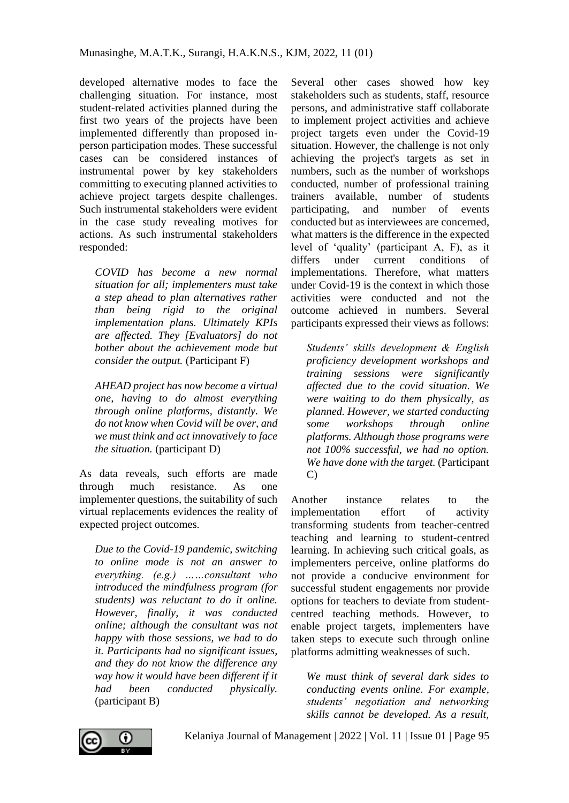developed alternative modes to face the challenging situation. For instance, most student-related activities planned during the first two years of the projects have been implemented differently than proposed inperson participation modes. These successful cases can be considered instances of instrumental power by key stakeholders committing to executing planned activities to achieve project targets despite challenges. Such instrumental stakeholders were evident in the case study revealing motives for actions. As such instrumental stakeholders responded:

*COVID has become a new normal situation for all; implementers must take a step ahead to plan alternatives rather than being rigid to the original implementation plans. Ultimately KPIs are affected. They [Evaluators] do not bother about the achievement mode but consider the output.* (Participant F)

*AHEAD project has now become a virtual one, having to do almost everything through online platforms, distantly. We do not know when Covid will be over, and we must think and act innovatively to face the situation.* (participant D)

As data reveals, such efforts are made through much resistance. As one implementer questions, the suitability of such virtual replacements evidences the reality of expected project outcomes.

*Due to the Covid-19 pandemic, switching to online mode is not an answer to everything. (e.g.) ……consultant who introduced the mindfulness program (for students) was reluctant to do it online. However, finally, it was conducted online; although the consultant was not happy with those sessions, we had to do it. Participants had no significant issues, and they do not know the difference any way how it would have been different if it had been conducted physically.* (participant B)

Several other cases showed how key stakeholders such as students, staff, resource persons, and administrative staff collaborate to implement project activities and achieve project targets even under the Covid-19 situation. However, the challenge is not only achieving the project's targets as set in numbers, such as the number of workshops conducted, number of professional training trainers available, number of students participating, and number of events conducted but as interviewees are concerned, what matters is the difference in the expected level of 'quality' (participant A, F), as it differs under current conditions of implementations. Therefore, what matters under Covid-19 is the context in which those activities were conducted and not the outcome achieved in numbers. Several participants expressed their views as follows:

*Students' skills development & English proficiency development workshops and training sessions were significantly affected due to the covid situation. We were waiting to do them physically, as planned. However, we started conducting some workshops through online platforms. Although those programs were not 100% successful, we had no option. We have done with the target.* (Participant C)

Another instance relates to the implementation effort of activity transforming students from teacher-centred teaching and learning to student-centred learning. In achieving such critical goals, as implementers perceive, online platforms do not provide a conducive environment for successful student engagements nor provide options for teachers to deviate from studentcentred teaching methods. However, to enable project targets, implementers have taken steps to execute such through online platforms admitting weaknesses of such.

*We must think of several dark sides to conducting events online. For example, students' negotiation and networking skills cannot be developed. As a result,* 



Kelaniya Journal of Management | 2022 | Vol. 11 | Issue 01 | Page 95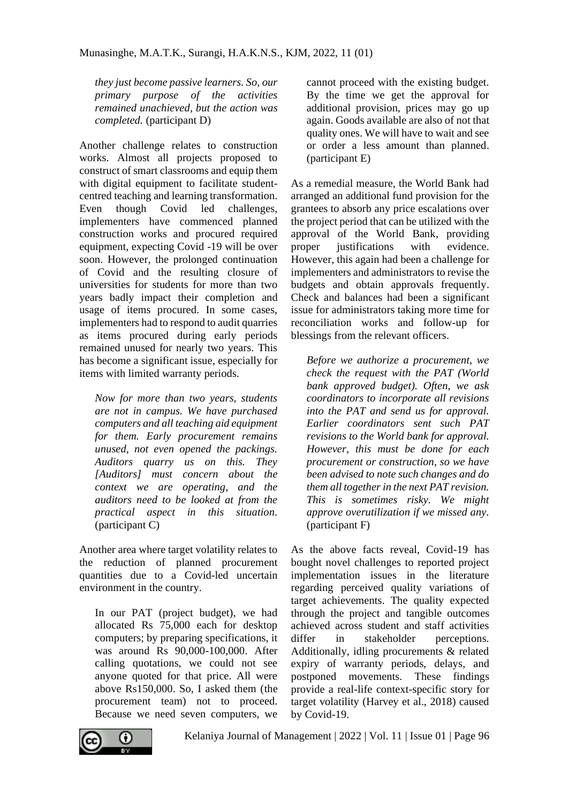*they just become passive learners. So, our primary purpose of the activities remained unachieved, but the action was completed.* (participant D)

Another challenge relates to construction works. Almost all projects proposed to construct of smart classrooms and equip them with digital equipment to facilitate studentcentred teaching and learning transformation. Even though Covid led challenges, implementers have commenced planned construction works and procured required equipment, expecting Covid -19 will be over soon. However, the prolonged continuation of Covid and the resulting closure of universities for students for more than two years badly impact their completion and usage of items procured. In some cases, implementers had to respond to audit quarries as items procured during early periods remained unused for nearly two years. This has become a significant issue, especially for items with limited warranty periods.

*Now for more than two years, students are not in campus. We have purchased computers and all teaching aid equipment for them. Early procurement remains unused, not even opened the packings. Auditors quarry us on this. They [Auditors] must concern about the context we are operating, and the auditors need to be looked at from the practical aspect in this situation.* (participant C)

Another area where target volatility relates to the reduction of planned procurement quantities due to a Covid-led uncertain environment in the country.

In our PAT (project budget), we had allocated Rs 75,000 each for desktop computers; by preparing specifications, it was around Rs 90,000-100,000. After calling quotations, we could not see anyone quoted for that price. All were above Rs150,000. So, I asked them (the procurement team) not to proceed. Because we need seven computers, we cannot proceed with the existing budget. By the time we get the approval for additional provision, prices may go up again. Goods available are also of not that quality ones. We will have to wait and see or order a less amount than planned. (participant E)

As a remedial measure, the World Bank had arranged an additional fund provision for the grantees to absorb any price escalations over the project period that can be utilized with the approval of the World Bank, providing proper justifications with evidence. However, this again had been a challenge for implementers and administrators to revise the budgets and obtain approvals frequently. Check and balances had been a significant issue for administrators taking more time for reconciliation works and follow-up for blessings from the relevant officers.

*Before we authorize a procurement, we check the request with the PAT (World bank approved budget). Often, we ask coordinators to incorporate all revisions into the PAT and send us for approval. Earlier coordinators sent such PAT revisions to the World bank for approval. However, this must be done for each procurement or construction, so we have been advised to note such changes and do them all together in the next PAT revision. This is sometimes risky. We might approve overutilization if we missed any.* (participant F)

As the above facts reveal, Covid-19 has bought novel challenges to reported project implementation issues in the literature regarding perceived quality variations of target achievements. The quality expected through the project and tangible outcomes achieved across student and staff activities differ in stakeholder perceptions. Additionally, idling procurements & related expiry of warranty periods, delays, and postponed movements. These findings provide a real-life context-specific story for target volatility (Harvey et al., 2018) caused by Covid-19.



Kelaniya Journal of Management | 2022 | Vol. 11 | Issue 01 | Page 96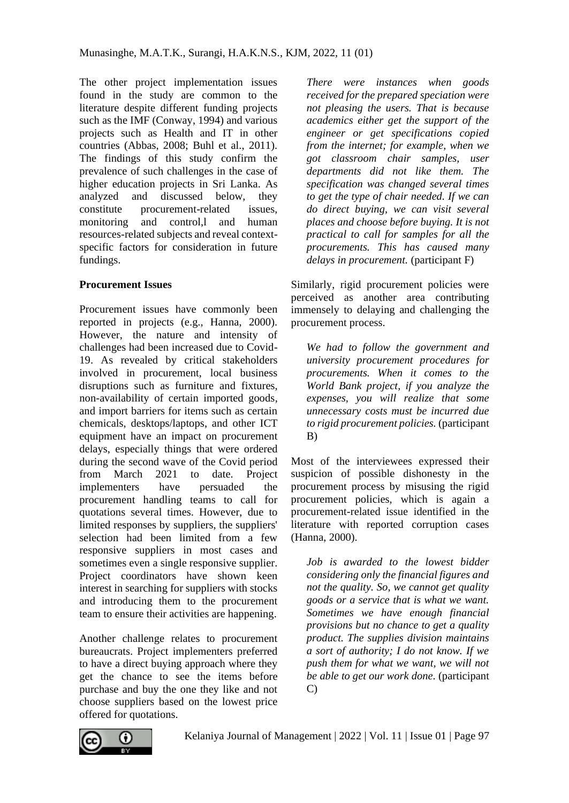The other project implementation issues found in the study are common to the literature despite different funding projects such as the IMF (Conway, 1994) and various projects such as Health and IT in other countries (Abbas, 2008; Buhl et al., 2011). The findings of this study confirm the prevalence of such challenges in the case of higher education projects in Sri Lanka. As analyzed and discussed below, they constitute procurement-related issues, monitoring and control,l and human resources-related subjects and reveal contextspecific factors for consideration in future fundings.

#### **Procurement Issues**

Procurement issues have commonly been reported in projects (e.g., Hanna, 2000). However, the nature and intensity of challenges had been increased due to Covid-19. As revealed by critical stakeholders involved in procurement, local business disruptions such as furniture and fixtures, non-availability of certain imported goods, and import barriers for items such as certain chemicals, desktops/laptops, and other ICT equipment have an impact on procurement delays, especially things that were ordered during the second wave of the Covid period from March 2021 to date. Project implementers have persuaded the procurement handling teams to call for quotations several times. However, due to limited responses by suppliers, the suppliers' selection had been limited from a few responsive suppliers in most cases and sometimes even a single responsive supplier. Project coordinators have shown keen interest in searching for suppliers with stocks and introducing them to the procurement team to ensure their activities are happening.

Another challenge relates to procurement bureaucrats. Project implementers preferred to have a direct buying approach where they get the chance to see the items before purchase and buy the one they like and not choose suppliers based on the lowest price offered for quotations.

*There were instances when goods received for the prepared speciation were not pleasing the users. That is because academics either get the support of the engineer or get specifications copied from the internet; for example, when we got classroom chair samples, user departments did not like them. The specification was changed several times to get the type of chair needed. If we can do direct buying, we can visit several places and choose before buying. It is not practical to call for samples for all the procurements. This has caused many delays in procurement.* (participant F)

Similarly, rigid procurement policies were perceived as another area contributing immensely to delaying and challenging the procurement process.

*We had to follow the government and university procurement procedures for procurements. When it comes to the World Bank project, if you analyze the expenses, you will realize that some unnecessary costs must be incurred due to rigid procurement policies.* (participant B)

Most of the interviewees expressed their suspicion of possible dishonesty in the procurement process by misusing the rigid procurement policies, which is again a procurement-related issue identified in the literature with reported corruption cases (Hanna, 2000).

*Job is awarded to the lowest bidder considering only the financial figures and not the quality. So, we cannot get quality goods or a service that is what we want. Sometimes we have enough financial provisions but no chance to get a quality product. The supplies division maintains a sort of authority; I do not know. If we push them for what we want, we will not be able to get our work done.* (participant C)

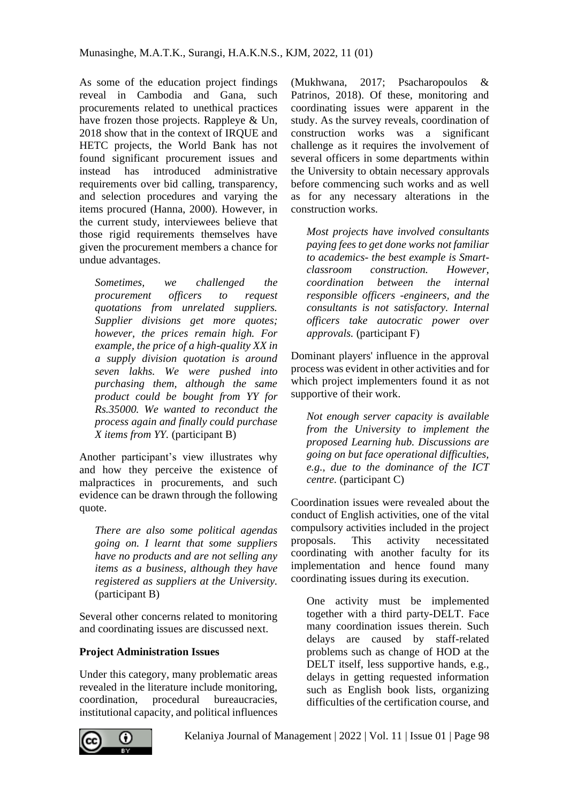As some of the education project findings reveal in Cambodia and Gana, such procurements related to unethical practices have frozen those projects. Rappleye & Un, 2018 show that in the context of IRQUE and HETC projects, the World Bank has not found significant procurement issues and instead has introduced administrative requirements over bid calling, transparency, and selection procedures and varying the items procured (Hanna, 2000). However, in the current study, interviewees believe that those rigid requirements themselves have given the procurement members a chance for undue advantages.

*Sometimes, we challenged the procurement officers to request quotations from unrelated suppliers. Supplier divisions get more quotes; however, the prices remain high. For example, the price of a high-quality XX in a supply division quotation is around seven lakhs. We were pushed into purchasing them, although the same product could be bought from YY for Rs.35000. We wanted to reconduct the process again and finally could purchase X items from YY.* (participant B)

Another participant's view illustrates why and how they perceive the existence of malpractices in procurements, and such evidence can be drawn through the following quote.

*There are also some political agendas going on. I learnt that some suppliers have no products and are not selling any items as a business, although they have registered as suppliers at the University.* (participant B)

Several other concerns related to monitoring and coordinating issues are discussed next.

### **Project Administration Issues**

Under this category, many problematic areas revealed in the literature include monitoring, coordination, procedural bureaucracies, institutional capacity, and political influences (Mukhwana, 2017; Psacharopoulos & Patrinos, 2018). Of these, monitoring and coordinating issues were apparent in the study. As the survey reveals, coordination of construction works was a significant challenge as it requires the involvement of several officers in some departments within the University to obtain necessary approvals before commencing such works and as well as for any necessary alterations in the construction works.

*Most projects have involved consultants paying fees to get done works not familiar to academics- the best example is Smartclassroom construction. However, coordination between the internal responsible officers -engineers, and the consultants is not satisfactory. Internal officers take autocratic power over approvals.* (participant F)

Dominant players' influence in the approval process was evident in other activities and for which project implementers found it as not supportive of their work.

*Not enough server capacity is available from the University to implement the proposed Learning hub. Discussions are going on but face operational difficulties, e.g., due to the dominance of the ICT centre.* (participant C)

Coordination issues were revealed about the conduct of English activities, one of the vital compulsory activities included in the project proposals. This activity necessitated coordinating with another faculty for its implementation and hence found many coordinating issues during its execution.

One activity must be implemented together with a third party-DELT. Face many coordination issues therein. Such delays are caused by staff-related problems such as change of HOD at the DELT itself, less supportive hands, e.g., delays in getting requested information such as English book lists, organizing difficulties of the certification course, and

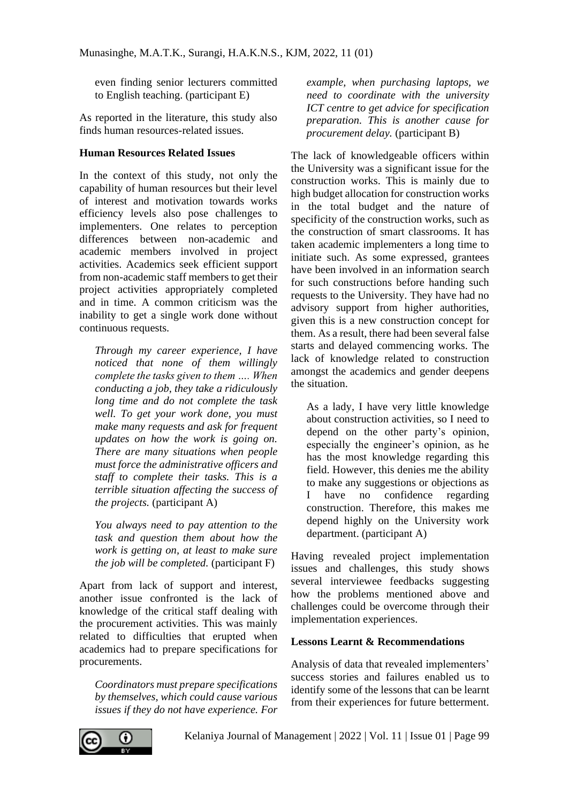even finding senior lecturers committed to English teaching. (participant E)

As reported in the literature, this study also finds human resources-related issues.

#### **Human Resources Related Issues**

In the context of this study, not only the capability of human resources but their level of interest and motivation towards works efficiency levels also pose challenges to implementers. One relates to perception differences between non-academic and academic members involved in project activities. Academics seek efficient support from non-academic staff members to get their project activities appropriately completed and in time. A common criticism was the inability to get a single work done without continuous requests.

*Through my career experience, I have noticed that none of them willingly complete the tasks given to them …. When conducting a job, they take a ridiculously long time and do not complete the task well. To get your work done, you must make many requests and ask for frequent updates on how the work is going on. There are many situations when people must force the administrative officers and staff to complete their tasks. This is a terrible situation affecting the success of the projects.* (participant A)

*You always need to pay attention to the task and question them about how the work is getting on, at least to make sure the job will be completed.* (participant F)

Apart from lack of support and interest, another issue confronted is the lack of knowledge of the critical staff dealing with the procurement activities. This was mainly related to difficulties that erupted when academics had to prepare specifications for procurements.

*Coordinators must prepare specifications by themselves, which could cause various issues if they do not have experience. For* 

*example, when purchasing laptops, we need to coordinate with the university ICT centre to get advice for specification preparation. This is another cause for procurement delay.* (participant B)

The lack of knowledgeable officers within the University was a significant issue for the construction works. This is mainly due to high budget allocation for construction works in the total budget and the nature of specificity of the construction works, such as the construction of smart classrooms. It has taken academic implementers a long time to initiate such. As some expressed, grantees have been involved in an information search for such constructions before handing such requests to the University. They have had no advisory support from higher authorities, given this is a new construction concept for them. As a result, there had been several false starts and delayed commencing works. The lack of knowledge related to construction amongst the academics and gender deepens the situation.

As a lady, I have very little knowledge about construction activities, so I need to depend on the other party's opinion, especially the engineer's opinion, as he has the most knowledge regarding this field. However, this denies me the ability to make any suggestions or objections as I have no confidence regarding construction. Therefore, this makes me depend highly on the University work department. (participant A)

Having revealed project implementation issues and challenges, this study shows several interviewee feedbacks suggesting how the problems mentioned above and challenges could be overcome through their implementation experiences.

#### **Lessons Learnt & Recommendations**

Analysis of data that revealed implementers' success stories and failures enabled us to identify some of the lessons that can be learnt from their experiences for future betterment.

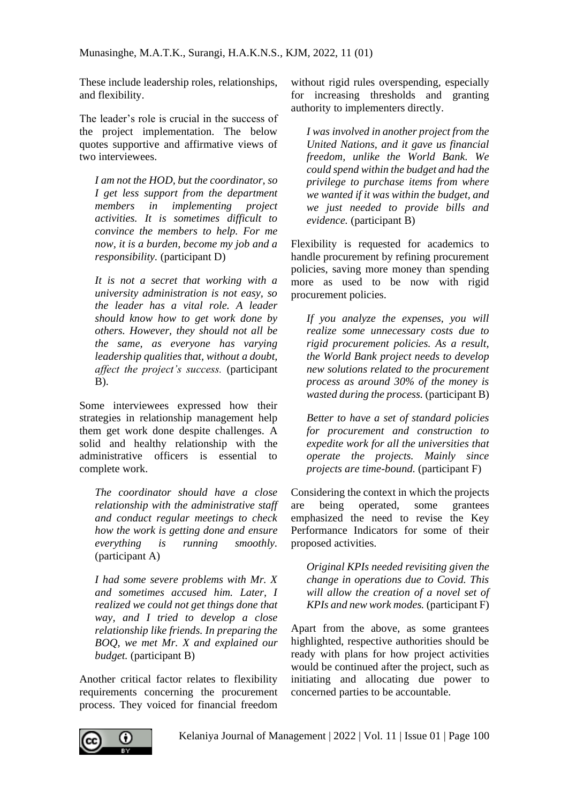These include leadership roles, relationships, and flexibility.

The leader's role is crucial in the success of the project implementation. The below quotes supportive and affirmative views of two interviewees.

*I am not the HOD, but the coordinator, so I get less support from the department members in implementing project activities. It is sometimes difficult to convince the members to help. For me now, it is a burden, become my job and a responsibility.* (participant D)

*It is not a secret that working with a university administration is not easy, so the leader has a vital role. A leader should know how to get work done by others. However, they should not all be the same, as everyone has varying leadership qualities that, without a doubt, affect the project's success.* (participant B).

Some interviewees expressed how their strategies in relationship management help them get work done despite challenges. A solid and healthy relationship with the administrative officers is essential to complete work.

*The coordinator should have a close relationship with the administrative staff and conduct regular meetings to check how the work is getting done and ensure everything is running smoothly.* (participant A)

*I had some severe problems with Mr. X and sometimes accused him. Later, I realized we could not get things done that way, and I tried to develop a close relationship like friends. In preparing the BOQ, we met Mr. X and explained our budget.* (participant B)

Another critical factor relates to flexibility requirements concerning the procurement process. They voiced for financial freedom

without rigid rules overspending, especially for increasing thresholds and granting authority to implementers directly.

*I was involved in another project from the United Nations, and it gave us financial freedom, unlike the World Bank. We could spend within the budget and had the privilege to purchase items from where we wanted if it was within the budget, and we just needed to provide bills and evidence.* (participant B)

Flexibility is requested for academics to handle procurement by refining procurement policies, saving more money than spending more as used to be now with rigid procurement policies.

*If you analyze the expenses, you will realize some unnecessary costs due to rigid procurement policies. As a result, the World Bank project needs to develop new solutions related to the procurement process as around 30% of the money is wasted during the process.* (participant B)

*Better to have a set of standard policies for procurement and construction to expedite work for all the universities that operate the projects. Mainly since projects are time-bound.* (participant F)

Considering the context in which the projects are being operated, some grantees emphasized the need to revise the Key Performance Indicators for some of their proposed activities.

*Original KPIs needed revisiting given the change in operations due to Covid. This will allow the creation of a novel set of KPIs and new work modes.* (participant F)

Apart from the above, as some grantees highlighted, respective authorities should be ready with plans for how project activities would be continued after the project, such as initiating and allocating due power to concerned parties to be accountable.

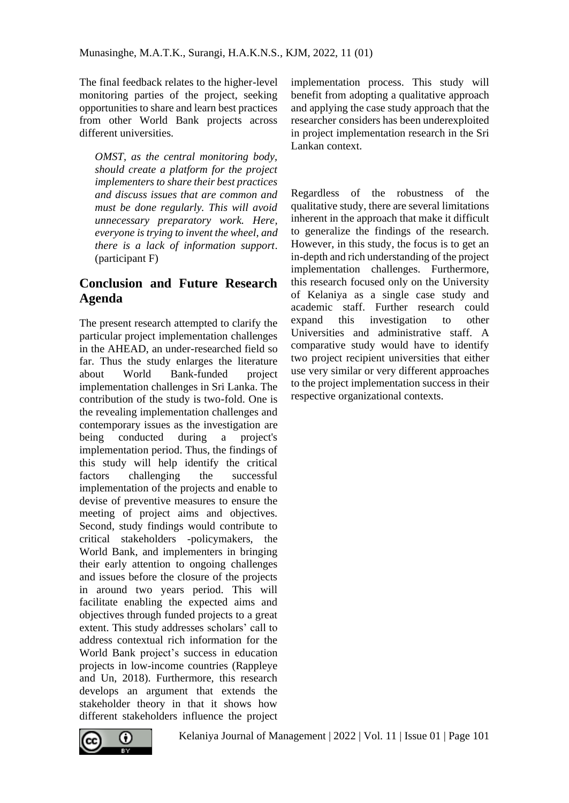The final feedback relates to the higher-level monitoring parties of the project, seeking opportunities to share and learn best practices from other World Bank projects across different universities.

*OMST, as the central monitoring body, should create a platform for the project implementers to share their best practices and discuss issues that are common and must be done regularly. This will avoid unnecessary preparatory work. Here, everyone is trying to invent the wheel, and there is a lack of information support*. (participant F)

# **Conclusion and Future Research Agenda**

The present research attempted to clarify the particular project implementation challenges in the AHEAD, an under-researched field so far. Thus the study enlarges the literature about World Bank-funded project implementation challenges in Sri Lanka. The contribution of the study is two-fold. One is the revealing implementation challenges and contemporary issues as the investigation are being conducted during a project's implementation period. Thus, the findings of this study will help identify the critical factors challenging the successful implementation of the projects and enable to devise of preventive measures to ensure the meeting of project aims and objectives. Second, study findings would contribute to critical stakeholders -policymakers, the World Bank, and implementers in bringing their early attention to ongoing challenges and issues before the closure of the projects in around two years period. This will facilitate enabling the expected aims and objectives through funded projects to a great extent. This study addresses scholars' call to address contextual rich information for the World Bank project's success in education projects in low-income countries (Rappleye and Un, 2018). Furthermore, this research develops an argument that extends the stakeholder theory in that it shows how different stakeholders influence the project implementation process. This study will benefit from adopting a qualitative approach and applying the case study approach that the researcher considers has been underexploited in project implementation research in the Sri Lankan context.

Regardless of the robustness of the qualitative study, there are several limitations inherent in the approach that make it difficult to generalize the findings of the research. However, in this study, the focus is to get an in-depth and rich understanding of the project implementation challenges. Furthermore, this research focused only on the University of Kelaniya as a single case study and academic staff. Further research could expand this investigation to other Universities and administrative staff. A comparative study would have to identify two project recipient universities that either use very similar or very different approaches to the project implementation success in their respective organizational contexts.

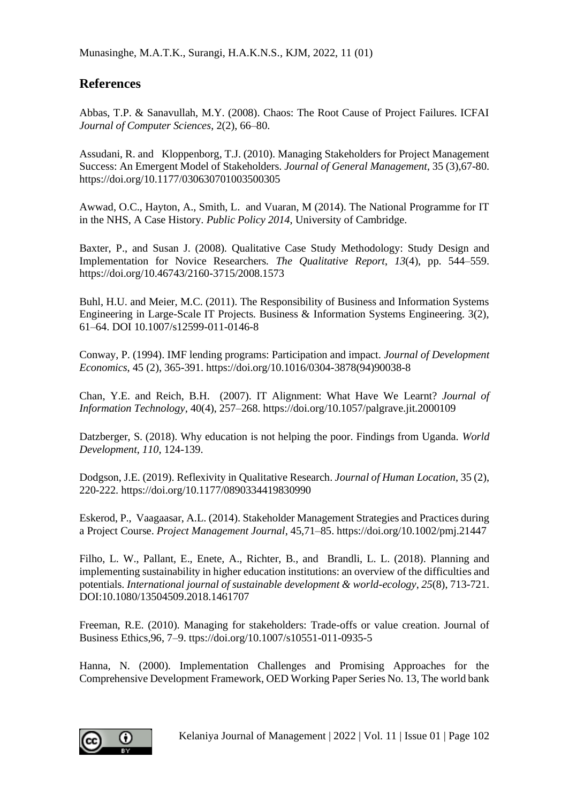Munasinghe, M.A.T.K., Surangi, H.A.K.N.S., KJM, 2022, 11 (01)

## **References**

Abbas, T.P. & Sanavullah, M.Y. (2008). Chaos: The Root Cause of Project Failures. ICFAI *Journal of Computer Sciences*, 2(2), 66–80.

[Assudani,](https://journals.sagepub.com/doi/abs/10.1177/030630701003500305?journalCode=gema) R. and [Kloppenborg,](https://journals.sagepub.com/doi/abs/10.1177/030630701003500305?journalCode=gema) T.J. (2010). Managing Stakeholders for Project Management Success: An Emergent Model of Stakeholders. *Journal of General Management*, 35 (3),67-80. https://doi.org/10.1177/030630701003500305

Awwad, O.C., Hayton, A., Smith, L. and Vuaran, M (2014). The National Programme for IT in the NHS, A Case History. *Public Policy 2014*, University of Cambridge.

Baxter, P., and Susan J. (2008). Qualitative Case Study Methodology: Study Design and Implementation for Novice Researchers. *The Qualitative Report*, *13*(4), pp. 544–559. https://doi.org/10.46743/2160-3715/2008.1573

Buhl, H.U. and Meier, M.C. (2011). The Responsibility of Business and Information Systems Engineering in Large-Scale IT Projects. Business & Information Systems Engineering. 3(2), 61–64. DOI 10.1007/s12599-011-0146-8

Conway, P. (1994). IMF lending programs: Participation and impact. *[Journal of Development](https://www.sciencedirect.com/science/journal/03043878)  [Economics](https://www.sciencedirect.com/science/journal/03043878)*, [45 \(2\)](https://www.sciencedirect.com/science/journal/03043878/45/2), 365-391. https://doi.org/10.1016/0304-3878(94)90038-8

Chan, Y.E. and Reich, B.H. (2007). IT Alignment: What Have We Learnt? *Journal of Information Technology*, 40(4), 257–268. https://doi.org/10.1057/palgrave.jit.2000109

Datzberger, S. (2018). Why education is not helping the poor. Findings from Uganda. *World Development*, *110*, 124-139.

Dodgson, J.E. (2019). Reflexivity in Qualitative Research. *Journal of Human Location*, 35 (2), 220-222. https://doi.org/10.1177/0890334419830990

Eskerod, P., Vaagaasar, A.L. (2014). Stakeholder Management Strategies and Practices during a Project Course. *Project Management Journal*, 45,71–85. https://doi.org/10.1002/pmj.21447

Filho, L. W., Pallant, E., Enete, A., Richter, B., and Brandli, L. L. (2018). Planning and implementing sustainability in higher education institutions: an overview of the difficulties and potentials. *International journal of sustainable development & world-ecology*, *25*(8), 713-721. DOI:10.1080/13504509.2018.1461707

Freeman, R.E. (2010). Managing for stakeholders: Trade-offs or value creation. Journal of Business Ethics,96, 7–9. ttps://doi.org/10.1007/s10551-011-0935-5

Hanna, N. (2000). Implementation Challenges and Promising Approaches for the Comprehensive Development Framework, OED Working Paper Series No. 13, The world bank

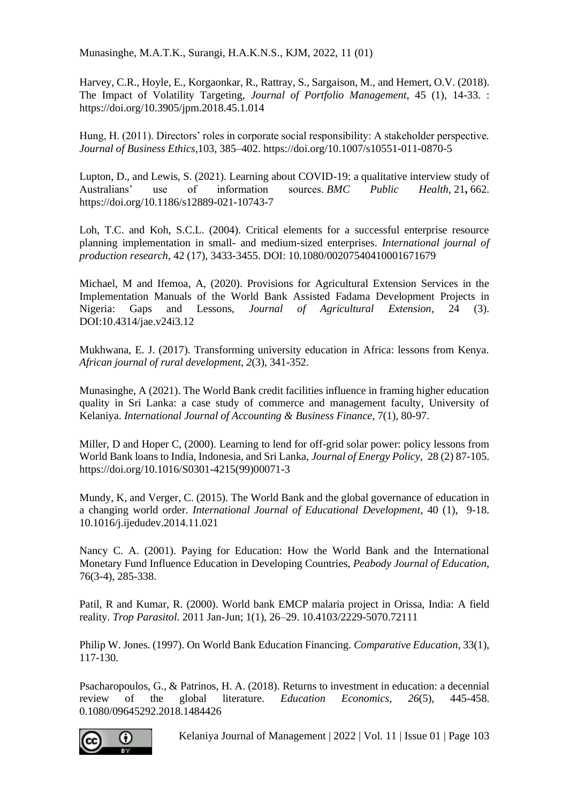Munasinghe, M.A.T.K., Surangi, H.A.K.N.S., KJM, 2022, 11 (01)

Harvey, C.R., Hoyle, E., Korgaonkar, R., Rattray, S., Sargaison, M., and Hemert, O.V. (2018). The Impact of Volatility Targeting, *Journal of Portfolio Management*, 45 (1), 14-33. : https://doi.org/10.3905/jpm.2018.45.1.014

Hung, H. (2011). Directors' roles in corporate social responsibility: A stakeholder perspective. *Journal of Business Ethics*,103, 385–402. https://doi.org/10.1007/s10551-011-0870-5

Lupton, D., and Lewis, S. (2021). Learning about COVID-19: a qualitative interview study of Australians' use of information sources. *BMC* Public Health. 21, 662. Australians' use of information sources. *BMC Public Health,* 21**,** 662. https://doi.org/10.1186/s12889-021-10743-7

Loh, T.C. and Koh, S.C.L. (2004). Critical elements for a successful enterprise resource planning implementation in small- and medium-sized enterprises. *International journal of production research*, 42 (17), 3433-3455. DOI: 10.1080/00207540410001671679

Michael, M and Ifemoa, A, (2020). Provisions for Agricultural Extension Services in the Implementation Manuals of the World Bank Assisted Fadama Development Projects in Nigeria: Gaps and Lessons, *Journal of Agricultural Extension*, 24 (3). Gaps and Lessons, *Journal of Agricultural Extension*, 24 (3). DOI:10.4314/jae.v24i3.12

Mukhwana, E. J. (2017). Transforming university education in Africa: lessons from Kenya. *African journal of rural development*, *2*(3), 341-352.

Munasinghe, A (2021). The World Bank credit facilities influence in framing higher education quality in Sri Lanka: a case study of commerce and management faculty, University of Kelaniya. *International Journal of Accounting & Business Finance*, 7(1), 80-97.

Miller, D and Hoper C, (2000). Learning to lend for off-grid solar power: policy lessons from World Bank loans to India, Indonesia, and Sri Lanka, *Journal o[f Energy Policy](https://www.sciencedirect.com/science/journal/03014215)*[, 28 \(2\)](https://www.sciencedirect.com/science/journal/03014215/28/2) 87-105. https://doi.org/10.1016/S0301-4215(99)00071-3

Mundy, K, and Verger, C. (2015). The World Bank and the global governance of education in a changing world order. *[International Journal of Educational Development](https://www.sciencedirect.com/science/journal/07380593)*, [40](https://www.sciencedirect.com/science/journal/07380593/40/supp/C) (1), 9-18. 10.1016/j.ijedudev.2014.11.021

Nancy C. A. (2001). Paying for Education: How the World Bank and the International Monetary Fund Influence Education in Developing Countries, *Peabody Journal of Education*, 76(3-4), 285-338.

Patil, R and Kumar, R. (2000). World bank EMCP malaria project in Orissa, India: A field reality. *[Trop Parasitol.](https://www.ncbi.nlm.nih.gov/pmc/articles/PMC3593465/)* 2011 Jan-Jun; 1(1), 26–29. 10.4103/2229-5070.72111

Philip W. Jones. (1997). On World Bank Education Financing. *Comparative Education*, 33(1), 117-130.

Psacharopoulos, G., & Patrinos, H. A. (2018). Returns to investment in education: a decennial review of the global literature. *Education Economics*, *26*(5), 445-458. 0.1080/09645292.2018.1484426



Kelaniya Journal of Management | 2022 | Vol. 11 | Issue 01 | Page 103